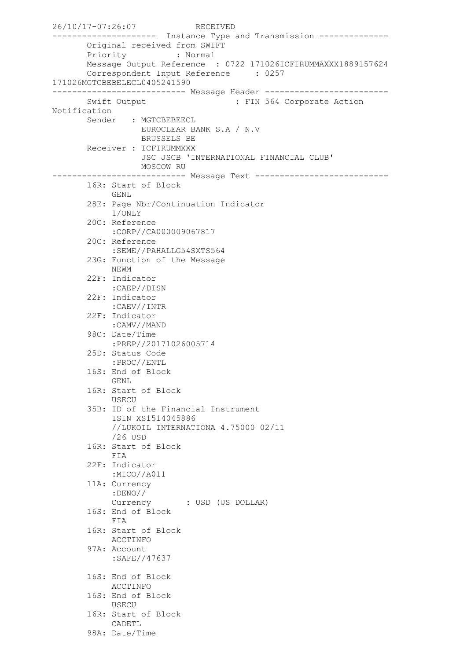```
26/10/17-07:26:07 RECEIVED
-------------------- Instance Type and Transmission --------------
        Original received from SWIFT
        Priority : Normal
        Message Output Reference : 0722 171026ICFIRUMMAXXX1889157624
        Correspondent Input Reference : 0257 
171026MGTCBEBELECL0405241590
--------------------------- Message Header -------------------------
       Swift Output : FIN 564 Corporate Action
Notification
       Sender : MGTCBEBEECL
                  EUROCLEAR BANK S.A / N.V
                  BRUSSELS BE
        Receiver : ICFIRUMMXXX
                   JSC JSCB 'INTERNATIONAL FINANCIAL CLUB'
                  MOSCOW RU
--------------------------- Message Text ---------------------------
        16R: Start of Block
             GENL
        28E: Page Nbr/Continuation Indicator
             1/ONLY
        20C: Reference
             :CORP//CA000009067817
        20C: Reference
             :SEME//PAHALLG54SXTS564
        23G: Function of the Message
             NEWM
        22F: Indicator
            :CAEP//DISN
        22F: Indicator
             :CAEV//INTR
        22F: Indicator
             :CAMV//MAND
        98C: Date/Time
             :PREP//20171026005714
        25D: Status Code
            :PROC//ENTL
        16S: End of Block
            GENL
        16R: Start of Block
             USECU
        35B: ID of the Financial Instrument
             ISIN XS1514045886
             //LUKOIL INTERNATIONA 4.75000 02/11
             /26 USD
        16R: Start of Block
            FIA
        22F: Indicator
             :MICO//A011
        11A: Currency
             :DENO//
             Currency : USD (US DOLLAR)
        16S: End of Block
            FIA
        16R: Start of Block
            ACCTINFO
        97A: Account
             :SAFE//47637
        16S: End of Block
            ACCTINFO
        16S: End of Block
            USECU
        16R: Start of Block
            CADETL
        98A: Date/Time
```